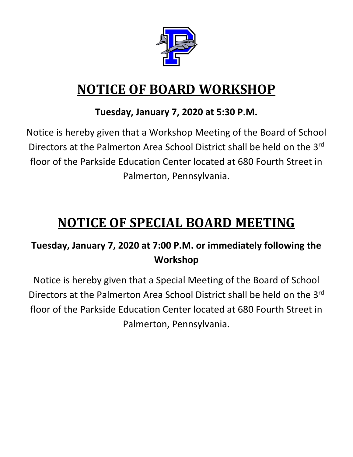

# **NOTICE OF BOARD WORKSHOP**

# **Tuesday, January 7, 2020 at 5:30 P.M.**

Notice is hereby given that a Workshop Meeting of the Board of School Directors at the Palmerton Area School District shall be held on the 3rd floor of the Parkside Education Center located at 680 Fourth Street in Palmerton, Pennsylvania.

# **NOTICE OF SPECIAL BOARD MEETING**

# **Tuesday, January 7, 2020 at 7:00 P.M. or immediately following the Workshop**

Notice is hereby given that a Special Meeting of the Board of School Directors at the Palmerton Area School District shall be held on the 3rd floor of the Parkside Education Center located at 680 Fourth Street in Palmerton, Pennsylvania.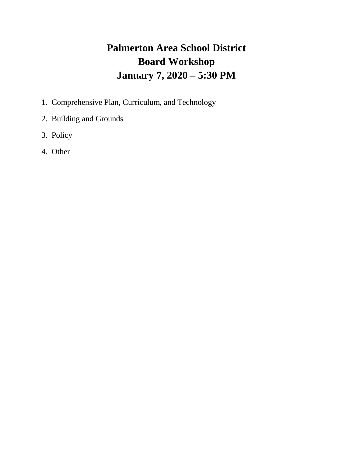# **Palmerton Area School District Board Workshop January 7, 2020 – 5:30 PM**

- 1. Comprehensive Plan, Curriculum, and Technology
- 2. Building and Grounds
- 3. Policy
- 4. Other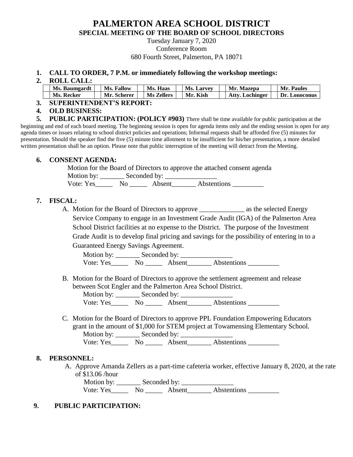### **PALMERTON AREA SCHOOL DISTRICT SPECIAL MEETING OF THE BOARD OF SCHOOL DIRECTORS**

Tuesday January 7, 2020 Conference Room 680 Fourth Street, Palmerton, PA 18071

#### **1. CALL TO ORDER, 7 P.M. or immediately following the workshop meetings:**

**2. ROLL CALL:**

| Ms. Baumgardt | <b>Ms. Fallow</b> | Ms. Haas          | <b>Ms. Larvey</b> | Mr. Mazepa             | Mr. Paules    |
|---------------|-------------------|-------------------|-------------------|------------------------|---------------|
| Ms. Recker    | Mr. Scherer       | <b>Ms Zellers</b> | Mr. Kish          | <b>Atty. Lochinger</b> | Dr. Lonoconus |

**3. SUPERINTENDENT'S REPORT:**

**4. OLD BUSINESS:**

**5. PUBLIC PARTICIPATION: (POLICY #903)** There shall be time available for public participation at the beginning and end of each board meeting. The beginning session is open for agenda items only and the ending session is open for any agenda times or issues relating to school district policies and operations; Informal requests shall be afforded five (5) minutes for presentation. Should the speaker find the five (5) minute time allotment to be insufficient for his/her presentation, a more detailed written presentation shall be an option. Please note that public interruption of the meeting will detract from the Meeting.

#### **6. CONSENT AGENDA:**

Motion for the Board of Directors to approve the attached consent agenda

Motion by: \_\_\_\_\_\_\_ Seconded by: \_\_\_\_\_\_\_\_\_\_\_\_\_\_\_

Vote: Yes\_\_\_\_\_\_\_ No \_\_\_\_\_\_ Absent\_\_\_\_\_\_\_ Abstentions \_\_\_\_\_\_\_\_\_\_

#### **7. FISCAL:**

A. Motion for the Board of Directors to approve \_\_\_\_\_\_\_\_\_\_\_\_\_ as the selected Energy Service Company to engage in an Investment Grade Audit (IGA) of the Palmerton Area School District facilities at no expense to the District. The purpose of the Investment Grade Audit is to develop final pricing and savings for the possibility of entering in to a Guaranteed Energy Savings Agreement.

Motion by: \_\_\_\_\_\_\_ Seconded by: \_\_\_\_\_\_\_\_\_\_\_\_\_\_\_ Vote: Yes\_\_\_\_\_\_\_ No \_\_\_\_\_\_ Absent\_\_\_\_\_\_\_ Abstentions \_\_\_\_\_\_\_\_\_\_

B. Motion for the Board of Directors to approve the settlement agreement and release between Scot Engler and the Palmerton Area School District.

Motion by: \_\_\_\_\_\_\_ Seconded by: \_\_\_\_\_\_\_\_\_\_\_\_\_\_\_

Vote: Yes\_\_\_\_\_\_\_ No \_\_\_\_\_\_ Absent\_\_\_\_\_\_\_ Abstentions \_\_\_\_\_\_\_\_\_\_

C. Motion for the Board of Directors to approve PPL Foundation Empowering Educators grant in the amount of \$1,000 for STEM project at Towamensing Elementary School. Motion by: \_\_\_\_\_\_\_ Seconded by: \_\_\_\_\_\_\_\_\_\_\_\_\_\_\_ Vote: Yes\_\_\_\_\_\_\_ No \_\_\_\_\_\_ Absent\_\_\_\_\_\_\_ Abstentions \_\_\_\_\_\_\_\_\_\_

#### **8. PERSONNEL:**

A. Approve Amanda Zellers as a part-time cafeteria worker, effective January 8, 2020, at the rate of \$13.06 /hour

 Motion by: \_\_\_\_\_\_\_ Seconded by: \_\_\_\_\_\_\_\_\_\_\_\_\_\_\_ Vote: Yes\_\_\_\_\_ No \_\_\_\_\_ Absent\_\_\_\_\_\_\_ Abstentions \_\_\_\_\_\_\_\_\_

#### **9. PUBLIC PARTICIPATION:**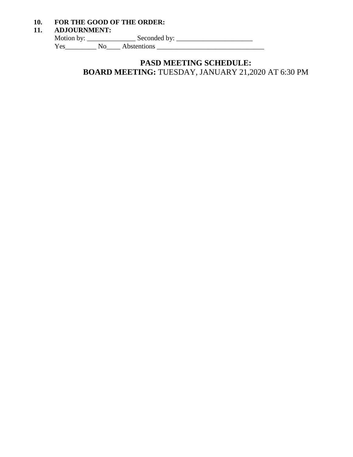#### **10. FOR THE GOOD OF THE ORDER:**

#### **11. ADJOURNMENT:**

Motion by: \_\_\_\_\_\_\_\_\_\_\_\_\_\_\_\_\_\_\_\_\_ Seconded by: \_\_\_\_\_\_\_\_\_\_\_\_\_\_\_\_\_\_\_\_\_\_\_\_\_\_\_\_\_\_\_\_\_\_

Yes\_\_\_\_\_\_\_\_\_ No\_\_\_\_ Abstentions \_\_\_\_\_\_\_\_\_\_\_\_\_\_\_\_\_\_\_\_\_\_\_\_\_\_\_\_\_\_\_

## **PASD MEETING SCHEDULE: BOARD MEETING:** TUESDAY, JANUARY 21,2020 AT 6:30 PM